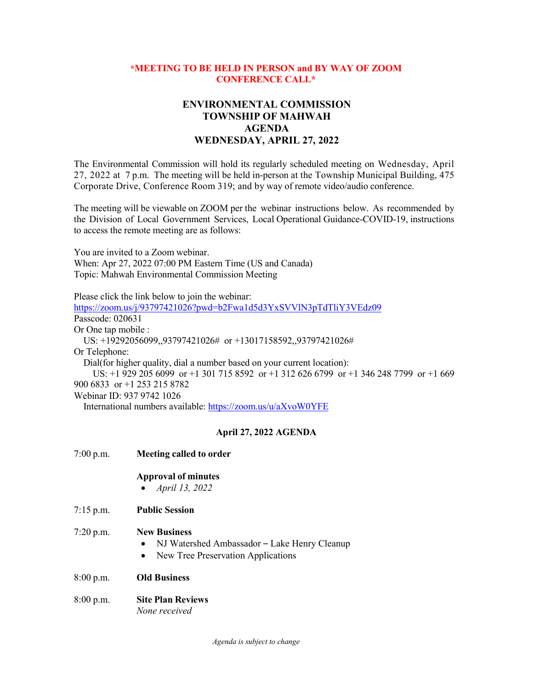## **\*MEETING TO BE HELD IN PERSON and BY WAY OF ZOOM CONFERENCE CALL\***

## **ENVIRONMENTAL COMMISSION TOWNSHIP OF MAHWAH AGENDA WEDNESDAY, APRIL 27, 2022**

The Environmental Commission will hold its regularly scheduled meeting on Wednesday, April 27, 2022 at 7 p.m. The meeting will be held in-person at the Township Municipal Building, 475 Corporate Drive, Conference Room 319; and by way of remote video/audio conference.

The meeting will be viewable on ZOOM per the webinar instructions below. As recommended by the Division of Local Government Services, Local Operational Guidance-COVID-19, instructions to access the remote meeting are as follows:

You are invited to a Zoom webinar. When: Apr 27, 2022 07:00 PM Eastern Time (US and Canada) Topic: Mahwah Environmental Commission Meeting

Please click the link below to join the webinar: <https://zoom.us/j/93797421026?pwd=b2Fwa1d5d3YxSVVlN3pTdTliY3VEdz09> Passcode: 020631 Or One tap mobile : US: +19292056099,,93797421026# or +13017158592,,93797421026# Or Telephone: Dial(for higher quality, dial a number based on your current location): US: +1 929 205 6099 or +1 301 715 8592 or +1 312 626 6799 or +1 346 248 7799 or +1 669 900 6833 or +1 253 215 8782 Webinar ID: 937 9742 1026

International numbers available:<https://zoom.us/u/aXvoW0YFE>

## **April 27, 2022 AGENDA**

| 7:00 p.m. | Meeting called to order                                                                                                             |
|-----------|-------------------------------------------------------------------------------------------------------------------------------------|
|           | <b>Approval of minutes</b><br>April 13, 2022                                                                                        |
| 7:15 p.m. | <b>Public Session</b>                                                                                                               |
| 7:20 p.m. | <b>New Business</b><br>NJ Watershed Ambassador - Lake Henry Cleanup<br>$\bullet$<br>New Tree Preservation Applications<br>$\bullet$ |
| 8:00 p.m. | <b>Old Business</b>                                                                                                                 |
| 8:00 p.m. | <b>Site Plan Reviews</b><br>None received                                                                                           |